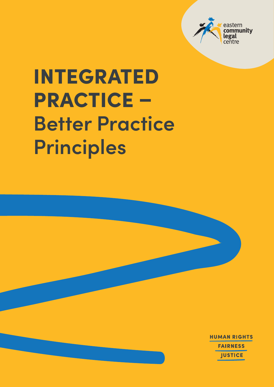

# INTEGRATED PRACTICE – **Better Practice Principles**

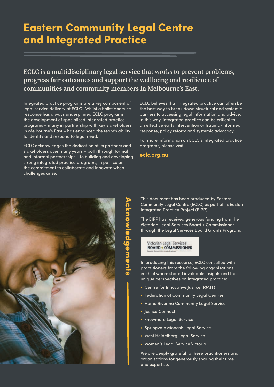# Eastern Community Legal Centre and Integrated Practice

#### **ECLC is a multidisciplinary legal service that works to prevent problems, progress fair outcomes and support the wellbeing and resilience of communities and community members in Melbourne's East.**

Integrated practice programs are a key component of legal service delivery at ECLC. Whilst a holistic service response has always underpinned ECLC programs, the development of specialised integrated practice programs – many in partnership with key stakeholders in Melbourne's East – has enhanced the team's ability to identify and respond to legal need.

ECLC acknowledges the dedication of its partners and stakeholders over many years – both through formal and informal partnerships - to building and developing strong integrated practice programs, in particular the commitment to collaborate and innovate when challenges arise.

ECLC believes that integrated practice can often be the best way to break down structural and systemic barriers to accessing legal information and advice. In this way, integrated practice can be critical to an effective early intervention or trauma-informed response, policy reform and systemic advocacy.

For more information on ECLC's integrated practice programs, please visit:

**eclc.org.au**



Acknowledgements cknowledgements

This document has been produced by Eastern Community Legal Centre (ECLC) as part of its Eastern Integrated Practice Project (EIPP).

The EIPP has received generous funding from the Victorian Legal Services Board + Commissioner through the Legal Services Board Grants Program.

Victorian Legal Services **BOARD + COMMISSIONER** 

In producing this resource, ECLC consulted with practitioners from the following organisations, each of whom shared invaluable insights and their unique perspectives on integrated practice:

- **•** Centre for Innovative Justice (RMIT)
- **•** Federation of Community Legal Centres
- **•** Hume Riverina Community Legal Service
- **•** Justice Connect
- **•** knowmore Legal Service
- **•** Springvale Monash Legal Service
- **•** West Heidelberg Legal Service
- **•** Women's Legal Service Victoria

We are deeply grateful to these practitioners and organisations for generously sharing their time and expertise.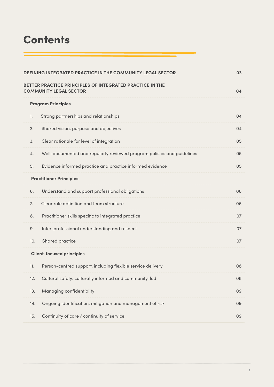# **Contents**

| DEFINING INTEGRATED PRACTICE IN THE COMMUNITY LEGAL SECTOR |                                                                                           |    |  |  |
|------------------------------------------------------------|-------------------------------------------------------------------------------------------|----|--|--|
|                                                            | BETTER PRACTICE PRINCIPLES OF INTEGRATED PRACTICE IN THE<br><b>COMMUNITY LEGAL SECTOR</b> | 04 |  |  |
| <b>Program Principles</b>                                  |                                                                                           |    |  |  |
| $\mathbf{1}$ .                                             | Strong partnerships and relationships                                                     | 04 |  |  |
| 2.                                                         | Shared vision, purpose and objectives                                                     | 04 |  |  |
| 3.                                                         | Clear rationale for level of integration                                                  | 05 |  |  |
| 4.                                                         | Well-documented and regularly reviewed program policies and guidelines                    | 05 |  |  |
| 5.                                                         | Evidence informed practice and practice informed evidence                                 | 05 |  |  |
| <b>Practitioner Principles</b>                             |                                                                                           |    |  |  |
| 6.                                                         | Understand and support professional obligations                                           | 06 |  |  |
| 7.                                                         | Clear role definition and team structure                                                  | 06 |  |  |
| 8.                                                         | Practitioner skills specific to integrated practice                                       | 07 |  |  |
| 9.                                                         | Inter-professional understanding and respect                                              | 07 |  |  |
| 10.                                                        | Shared practice                                                                           | 07 |  |  |
| <b>Client-focused principles</b>                           |                                                                                           |    |  |  |
| 11.                                                        | Person-centred support, including flexible service delivery                               | 08 |  |  |
| 12.                                                        | Cultural safety: culturally informed and community-led                                    | 08 |  |  |
| 13.                                                        | Managing confidentiality                                                                  | 09 |  |  |
| 14.                                                        | Ongoing identification, mitigation and management of risk                                 | 09 |  |  |
| 15.                                                        | Continuity of care / continuity of service                                                | 09 |  |  |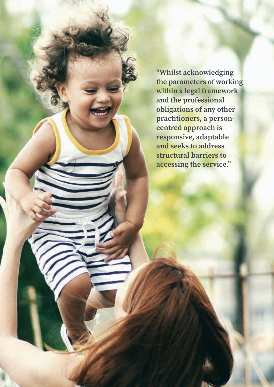**"Whilst acknowledging the parameters of working within a legal framework and the professional obligations of any other practitioners, a personcentred approach is responsive, adaptable and seeks to address structural barriers to accessing the service."**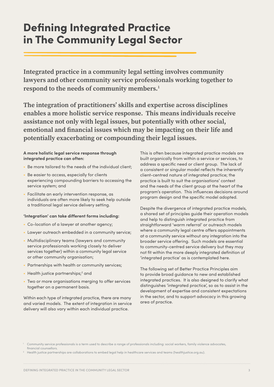# Defining Integrated Practice in The Community Legal Sector

**Integrated practice in a community legal setting involves community lawyers and other community service professionals working together to respond to the needs of community members.1** 

**The integration of practitioners' skills and expertise across disciplines enables a more holistic service response. This means individuals receive assistance not only with legal issues, but potentially with other social, emotional and financial issues which may be impacting on their life and potentially exacerbating or compounding their legal issues.** 

#### **A more holistic legal service response through integrated practice can often:**

- **•** Be more tailored to the needs of the individual client;
- **•** Be easier to access, especially for clients experiencing compounding barriers to accessing the service system; and
- **•** Facilitate an early intervention response, as individuals are often more likely to seek help outside a traditional legal service delivery setting.

#### **'Integration' can take different forms including:**

- **•** Co-location of a lawyer at another agency;
- **•** Lawyer outreach embedded in a community service;
- **•** Multidisciplinary teams (lawyers and community service professionals working closely to deliver services together) within a community legal service or other community organisation;
- **•** Partnerships with health or community services;
- Health justice partnerships;<sup>2</sup> and
- **•** Two or more organisations merging to offer services together on a permanent basis.

Within each type of integrated practice, there are many and varied models. The extent of integration in service delivery will also vary within each individual practice.

This is often because integrated practice models are built organically from within a service or services, to address a specific need or client group. The lack of a consistent or singular model reflects the inherently client-centred nature of integrated practice; the practice is built to suit the organisations' context and the needs of the client group at the heart of the program's operation. This influences decisions around program design and the specific model adopted.

Despite the divergence of integrated practice models, a shared set of principles guide their operation models and help to distinguish integrated practice from straightforward 'warm referral' or outreach models where a community legal centre offers appointments at a community service without any integration into the broader service offering. Such models are essential to community-centred service delivery but they may not fit within the more deeply integrated definition of 'integrated practice' as is contemplated here.

The following set of Better Practice Principles aim to provide broad guidance to new and established integrated practices. It is also designed to clarify what distinguishes 'integrated practice', so as to assist in the development of expertise and consistent expectations in the sector, and to support advocacy in this growing area of practice.

<sup>1</sup> Community service professionals is a term used to describe a range of professionals including: social workers, family violence advocates, financial counsellors.

<sup>2</sup> Health justice partnerships are collaborations to embed legal help in healthcare services and teams (healthjustice.org.au).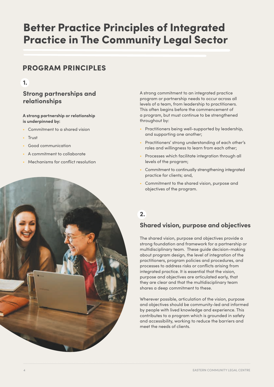# Better Practice Principles of Integrated Practice in The Community Legal Sector

# PROGRAM PRINCIPLES

#### **1.**

#### **Strong partnerships and relationships**

#### **A strong partnership or relationship is underpinned by:**

- **•** Commitment to a shared vision
- **•** Trust
- **•** Good communication
- **•** A commitment to collaborate
- **•** Mechanisms for conflict resolution

A strong commitment to an integrated practice program or partnership needs to occur across all levels of a team, from leadership to practitioners. This often begins before the commencement of a program, but must continue to be strengthened throughout by:

- **•** Practitioners being well-supported by leadership, and supporting one another;
- **•** Practitioners' strong understanding of each other's roles and willingness to learn from each other;
- **•** Processes which facilitate integration through all levels of the program;
- **•** Commitment to continually strengthening integrated practice for clients; and,
- **•** Commitment to the shared vision, purpose and objectives of the program.

#### **2.**

#### **Shared vision, purpose and objectives**

The shared vision, purpose and objectives provide a strong foundation and framework for a partnership or multidisciplinary team. These guide decision-making about program design, the level of integration of the practitioners, program policies and procedures, and processes to address risks or conflicts arising from integrated practice. It is essential that the vision, purpose and objectives are articulated early, that they are clear and that the multidisciplinary team shares a deep commitment to these.

Wherever possible, articulation of the vision, purpose and objectives should be community-led and informed by people with lived knowledge and experience. This contributes to a program which is grounded in safety and accessibility, working to reduce the barriers and meet the needs of clients.

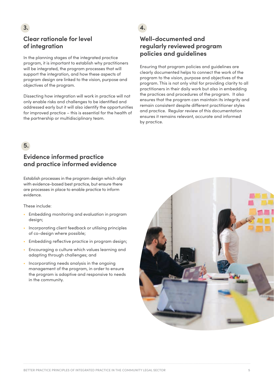## **Clear rationale for level of integration**

In the planning stages of the integrated practice program, it is important to establish why practitioners will be integrated, the program processes that will support the integration, and how these aspects of program design are linked to the vision, purpose and objectives of the program.

Dissecting how integration will work in practice will not only enable risks and challenges to be identified and addressed early but it will also identify the opportunities for improved practice – this is essential for the health of the partnership or multidisciplinary team.

#### **5.**

#### **Evidence informed practice and practice informed evidence**

Establish processes in the program design which align with evidence-based best practice, but ensure there are processes in place to enable practice to inform evidence.

These include:

- **•** Embedding monitoring and evaluation in program design;
- **•** Incorporating client feedback or utilising principles of co-design where possible;
- **•** Embedding reflective practice in program design;
- **•** Encouraging a culture which values learning and adapting through challenges; and
- **•** Incorporating needs analysis in the ongoing management of the program, in order to ensure the program is adaptive and responsive to needs in the community.

#### **4.**

#### **Well-documented and regularly reviewed program policies and guidelines**

Ensuring that program policies and guidelines are clearly documented helps to connect the work of the program to the vision, purpose and objectives of the program. This is not only vital for providing clarity to all practitioners in their daily work but also in embedding the practices and procedures of the program. It also ensures that the program can maintain its integrity and remain consistent despite different practitioner styles and practice. Regular review of this documentation ensures it remains relevant, accurate and informed by practice.

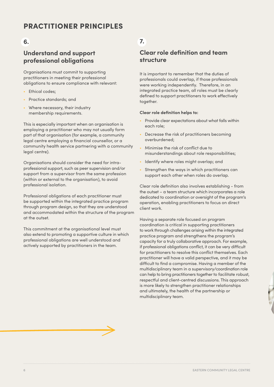# PRACTITIONER PRINCIPI ES

#### **6.**

#### **Understand and support professional obligations**

Organisations must commit to supporting practitioners in meeting their professional obligations to ensure compliance with relevant:

- **•** Ethical codes;
- **•** Practice standards; and
- **•** Where necessary, their industry membership requirements.

This is especially important when an organisation is employing a practitioner who may not usually form part of that organisation (for example, a community legal centre employing a financial counsellor, or a community health service partnering with a community legal centre).

Organisations should consider the need for intraprofessional support, such as peer supervision and/or support from a supervisor from the same profession (within or external to the organisation), to avoid professional isolation.

Professional obligations of each practitioner must be supported within the integrated practice program through program design, so that they are understood and accommodated within the structure of the program at the outset.

This commitment at the organisational level must also extend to promoting a supportive culture in which professional obligations are well understood and actively supported by practitioners in the team.

## **7.**

#### **Clear role definition and team structure**

It is important to remember that the duties of professionals could overlap, if those professionals were working independently. Therefore, in an integrated practice team, all roles must be clearly defined to support practitioners to work effectively together.

#### **Clear role definition helps to:**

- **•** Provide clear expectations about what falls within each role;
- **•** Decrease the risk of practitioners becoming overburdened;
- **•** Minimise the risk of conflict due to misunderstandings about role responsibilities;
- **•** Identify where roles might overlap; and
- **•** Strengthen the ways in which practitioners can support each other when roles do overlap.

Clear role definition also involves establishing - from the outset – a team structure which incorporates a role dedicated to coordination or oversight of the program's operation, enabling practitioners to focus on direct client work.

Having a separate role focused on program coordination is critical in supporting practitioners to work through challenges arising within the integrated practice program and strengthens the program's capacity for a truly collaborative approach. For example, if professional obligations conflict, it can be very difficult for practitioners to resolve this conflict themselves. Each practitioner will have a valid perspective, and it may be difficult to find a compromise. Having a member of the multidisciplinary team in a supervisory/coordination role can help to bring practitioners together to facilitate robust, respectful and client-centred discussions. This approach is more likely to strengthen practitioner relationships and ultimately, the health of the partnership or multidisciplinary team.

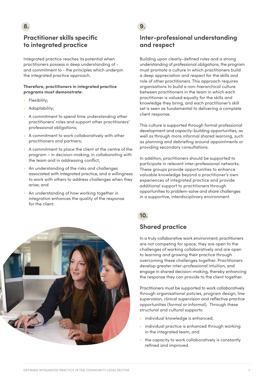# **Practitioner skills specific to integrated practice**

Integrated practice reaches its potential when practitioners possess a deep understanding of and commitment to - the principles which underpin the integrated practice approach.

#### **Therefore, practitioners in integrated practice programs must demonstrate:**

**•** Flexibility;

**8.** 

- **•** Adaptability;
- **•** A commitment to spend time understanding other practitioners' roles and support other practitioners' professional obligations;
- **•** A commitment to work collaboratively with other practitioners and partners;
- **•** A commitment to place the client at the centre of the program – in decision-making, in collaborating with the team and in addressing conflict;
- **•** An understanding of the risks and challenges associated with integrated practice, and a willingness to work with others to address challenges when they arise; and
- **•** An understanding of how working together in integration enhances the quality of the response for the client.



#### **9.**

#### **Inter-professional understanding and respect**

Building upon clearly-defined roles and a strong understanding of professional obligations, the program must promote a culture in which practitioners build a deep appreciation and respect for the skills and role of other practitioners. This approach requires organisations to build a non-hierarchical culture between practitioners in the team in which each practitioner is valued equally for the skills and knowledge they bring, and each practitioner's skill set is seen as fundamental to delivering a complete client response.

This culture is supported through formal professional development and capacity-building opportunities, as well as through more informal shared learning, such as planning and debriefing around appointments or providing secondary consultations.

In addition, practitioners should be supported to participate in relevant inter-professional networks. These groups provide opportunities to enhance valuable knowledge beyond a practitioner's own experiences of integrated practice and provide additional support to practitioners through opportunities to problem-solve and share challenges in a supportive, interdisciplinary environment.

#### **Shared practice**

In a truly collaborative work environment, practitioners are not competing for space; they are open to the challenges of working collaboratively and are open to learning and growing their practice through overcoming these challenges together. Practitioners develop greater inter-professional intuition, and engage in shared decision-making, thereby enhancing the response they can provide to the client together.

Practitioners must be supported to work collaboratively through organisational policies, program design, line supervision, clinical supervision and reflective practice opportunities (formal or informal). Through these structural and cultural supports:

- **•** individual knowledge is enhanced;
- **•** individual practice is enhanced through working in the integrated team; and
- **•** the capacity to work collaboratively is constantly refined and improved.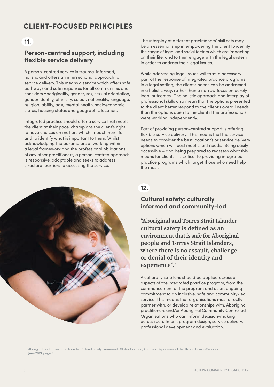# CLIENT-FOCUSED PRINCIPLES

#### **11.**

#### **Person-centred support, including flexible service delivery**

A person-centred service is trauma-informed, holistic and offers an intersectional approach to service delivery. This means a service which offers safe pathways and safe responses for all communities and considers Aboriginality, gender, sex, sexual orientation, gender identity, ethnicity, colour, nationality, language, religion, ability, age, mental health, socioeconomic status, housing status and geographic location.

Integrated practice should offer a service that meets the client at their pace, champions the client's right to have choices on matters which impact their life and to identify what is important to them. Whilst acknowledging the parameters of working within a legal framework and the professional obligations of any other practitioners, a person-centred approach is responsive, adaptable and seeks to address structural barriers to accessing the service.



The interplay of different practitioners' skill sets may be an essential step in empowering the client to identify the range of legal and social factors which are impacting on their life, and to then engage with the legal system in order to address their legal issues.

While addressing legal issues will form a necessary part of the response of integrated practice programs in a legal setting, the client's needs can be addressed in a holistic way, rather than a narrow focus on purely legal outcomes. The holistic approach and interplay of professional skills also mean that the options presented to the client better respond to the client's overall needs than the options open to the client if the professionals were working independently.

Part of providing person-centred support is offering flexible service delivery. This means that the service needs to consider the best location/s or service delivery options which will best meet client needs. Being easily accessible – and being prepared to reassess what this means for clients - is critical to providing integrated practice programs which target those who need help the most.

#### **12.**

#### **Cultural safety: culturally informed and community-led**

**"Aboriginal and Torres Strait Islander cultural safety is defined as an environment that is safe for Aboriginal people and Torres Strait Islanders, where there is no assault, challenge or denial of their identity and experience".3**

A culturally safe lens should be applied across all aspects of the integrated practice program, from the commencement of the program and as an ongoing commitment to an inclusive, safe and community-led service. This means that organisations must directly partner with, or develop relationships with, Aboriginal practitioners and/or Aboriginal Community Controlled Organisations who can inform decision-making across recruitment, program design, service delivery, professional development and evaluation.

<sup>3</sup> Aboriginal and Torres Strait Islander Cultural Safety Framework, State of Victoria, Australia, Department of Health and Human Services, June 2019, page 7.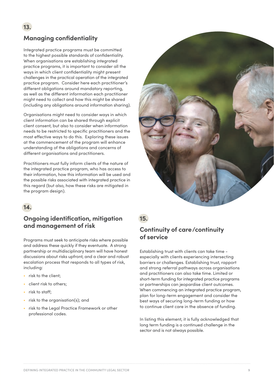## **Managing confidentiality**

Integrated practice programs must be committed to the highest possible standards of confidentiality. When organisations are establishing integrated practice programs, it is important to consider all the ways in which client confidentiality might present challenges in the practical operation of the integrated practice program. Consider here each practitioner's different obligations around mandatory reporting, as well as the different information each practitioner might need to collect and how this might be shared (including any obligations around information sharing).

Organisations might need to consider ways in which client information can be shared through explicit client consent, but also to consider when information needs to be restricted to specific practitioners and the most effective ways to do this. Exploring these issues at the commencement of the program will enhance understanding of the obligations and concerns of different organisations and practitioners.

Practitioners must fully inform clients of the nature of the integrated practice program, who has access to their information, how this information will be used and the possible risks associated with integrated practice in this regard (but also, how these risks are mitigated in the program design).



## **14.**

#### **Ongoing identification, mitigation and management of risk**

Programs must seek to anticipate risks where possible and address these quickly if they eventuate. A strong partnership or multidisciplinary team will have honest discussions about risks upfront, and a clear and robust escalation process that responds to all types of risk, including:

- **•** risk to the client;
- **•** client risk to others;
- **•** risk to staff;
- **•** risk to the organisation(s); and
- **•** risk to the Legal Practice Framework or other professional codes.

#### **15.**

#### **Continuity of care/continuity of service**

Establishing trust with clients can take time especially with clients experiencing intersecting barriers or challenges. Establishing trust, rapport and strong referral pathways across organisations and practitioners can also take time. Limited or short-term funding for integrated practice programs or partnerships can jeopardise client outcomes. When commencing an integrated practice program, plan for long-term engagement and consider the best ways of securing long-term funding or how to continue client care in the absence of funding.

In listing this element, it is fully acknowledged that long term funding is a continued challenge in the sector and is not always possible.